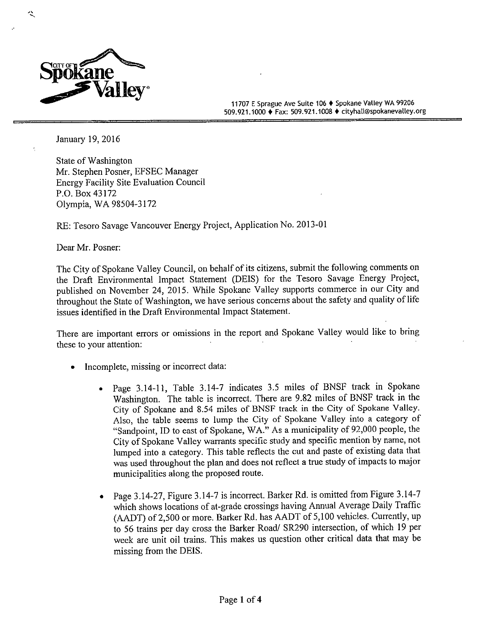

 $\ddot{\phantom{0}}$ 

11707 E Sprague Ave Suite 106 ♦ Spokane Valley WA 99206 509. 921. 1000 ♦ Fax: 509. 921. 1008 ♦ cityhall@spokanevalley. org

January 19, 2016

State of Washington Mr. Stephen Posner, EFSEC Manager Energy Facility Site Evaluation Council P.O. Box 43172 Olympia, WA 98504-3172

RE: Tesoro Savage Vancouver Energy Project, Application No. 2013- 01

Dear Mr. Posner:

The City of Spokane Valley Council, on behalf of its citizens, submit the following comments on the Draft Environmental Impact Statement ( DEIS) for the Tesoro Savage Energy Project, published on November 24, 2015. While Spokane Valley supports commerce in our City and throughout the State of Washington, we have serious concerns about the safety and quality of life issues identified in the Draft Environmental Impact Statement.

There are important errors or omissions in the report and Spokane Valley would like to bring these to your attention:

- Incomplete, missing or incorrect data:
	- Page 3.14-11, Table 3.14-7 indicates 3.5 miles of BNSF track in Spokane Washington. The table is incorrect. There are 9.82 miles of BNSF track in the City of Spokane and 8.54 miles of BNSF track in the City of Spokane Valley. Also, the table seems to lump the City of Spokane Valley into <sup>a</sup> category of Sandpoint, ID to east of Spokane, WA." As <sup>a</sup> municipality of 92,000 people, the City of Spokane Valley warrants specific study and specific mention by name, not lumped into <sup>a</sup> category. This table reflects the cut and paste of existing data that was used throughout the plan and does not reflect <sup>a</sup> true study of impacts to major municipalities along the proposed route.
	- Page 3.14-27, Figure 3.14-7 is incorrect. Barker Rd. is omitted from Figure 3.14-7 which shows locations of at -grade crossings having Annual Average Daily Traffic (AADT) of 2,500 or more. Barker Rd. has AADT of 5,100 vehicles. Currently, up to 56 trains per day cross the Barker Road/ SR290 intersection, of which <sup>19</sup> per week are unit oil trains. This makes us question other critical data that may be missing from the DEIS.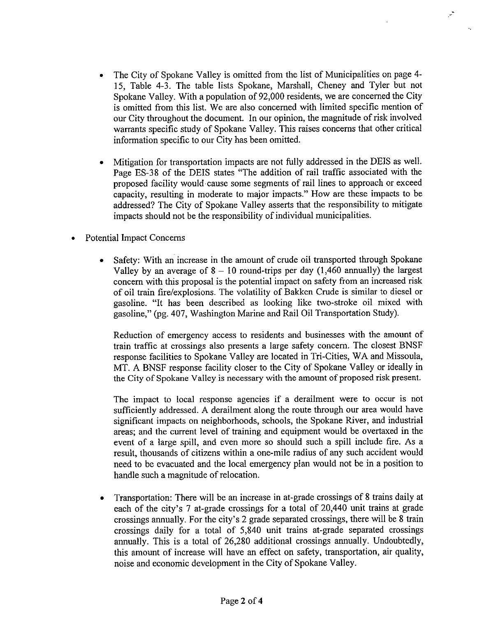The City of Spokane Valley is omitted from the list of Municipalities on page 4- 15, Table 4-3. The table lists Spokane, Marshall, Cheney and Tyler but not Spokane Valley. With a population of 92,000 residents, we are concerned the City is omitted from this list. We are also concerned with limited specific mention of our City throughout the document. In our opinion, the magnitude of risk involved warrants specific study of Spokane Valley. This raises concerns that other critical information specific to our City has been omitted.

 $\mathcal{L}$ 

- Mitigation for transportation impacts are not fully addressed in the DEIS as well.  $\bullet$ Page ES-38 of the DEIS states "The addition of rail traffic associated with the proposed facility would cause some segments of rail lines to approach or exceed capacity, resulting in moderate to major impacts." How are these impacts to be addressed? The City of Spokane Valley asserts that the responsibility to mitigate impacts should not be the responsibility of individual municipalities.
- Potential Impact Concerns
	- $\bullet$ Safety: With an increase in the amount of crude oil transported through Spokane Valley by an average of  $8 - 10$  round-trips per day (1,460 annually) the largest concern with this proposal is the potential impact on safety from an increased risk of oil train fire/explosions. The volatility of Bakken Crude is similar to diesel or gasoline. "It has been described as looking like two-stroke oil mixed with gasoline," ( pg. 407, Washington Marine and Rail Oil Transportation Study).

Reduction of emergency access to residents and businesses with the amount of train traffic at crossings also presents a large safety concern. The closest BNSF response facilities to Spokane Valley are located in Tri -Cities, WA and Missoula, MT. A BNSF response facility closer to the City of Spokane Valley or ideally in the City of Spokane Valley is necessary with the amount of proposed risk present.

The impact to local response agencies if <sup>a</sup> derailment were to occur is not sufficiently addressed. A derailment along the route through our area would have significant impacts on neighborhoods, schools, the Spokane River, and industrial areas; and the current level of training and equipment would be overtaxed in the event of <sup>a</sup> large spill, and even more so should such <sup>a</sup> spill include fire. As <sup>a</sup> result, thousands of citizens within <sup>a</sup> one -mile radius of any such accident would need to be evacuated and the local emergency plan would not be in a position to handle such <sup>a</sup> magnitude of relocation.

Transportation: There will be an increase in at -grade crossings of <sup>8</sup> trains daily at  $\bullet$ each of the city's 7 at-grade crossings for a total of 20,440 unit trains at grade crossings annually. For the city's 2 grade separated crossings, there will be 8 train crossings daily for <sup>a</sup> total of 5, 840 unit trains at -grade separated crossings annually. This is <sup>a</sup> total of 26,280 additional crossings annually. Undoubtedly, this amount of increase will have an effect on safety, transportation, air quality, noise and economic development in the City of Spokane Valley.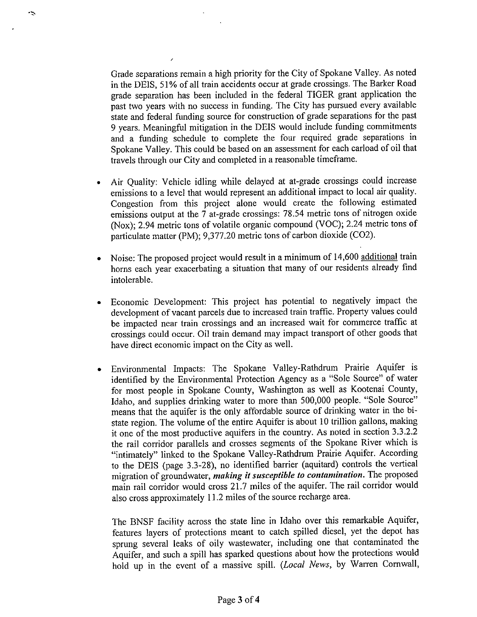Grade separations remain <sup>a</sup> high priority for the City of Spokane Valley. As noted in the DEIS, 51% of all train accidents occur at grade crossings. The Barker Road grade separation has been included in the federal TIGER grant application the past two years with no success in funding. The City has pursued every available state and federal funding source for construction of grade separations for the past 9 years. Meaningful mitigation in the DEIS would include funding commitments and a funding schedule to complete the four required grade separations in Spokane Valley. This could be based on an assessment for each carload of oil that travels through our City and completed in a reasonable timeframe.

 $\ddot{\phantom{0}}$ 

- Air Quality: Vehicle idling while delayed at at -grade crossings could increase emissions to a level that would represent an additional impact to local air quality. Congestion from this project alone would create the following estimated emissions output at the 7 at-grade crossings: 78.54 metric tons of nitrogen oxide Nox); 2. 94 metric tons of volatile organic compound (VOC); 2.24 metric tons of particulate matter (PM); 9,377.20 metric tons of carbon dioxide (CO2).
- Noise: The proposed project would result in <sup>a</sup> minimum of 14,600 additional train  $\bullet$ horns each year exacerbating <sup>a</sup> situation that many of our residents already find intolerable.
- Economic Development: This project has potential to negatively impact the development of vacant parcels due to increased train traffic. Property values could be impacted near train crossings and an increased wait for commerce traffic at crossings could occur. Oil train demand may impact transport of other goods that have direct economic impact on the City as well.
- Environmental Impacts: The Spokane Valley-Rathdrum Prairie Aquifer is identified by the Environmental Protection Agency as a "Sole Source" of water for most people in Spokane County, Washington as well as Kootenai County, Idaho, and supplies drinking water to more than 500,000 people. " Sole Source" means that the aquifer is the only affordable source of drinking water in the bistate region. The volume of the entire Aquifer is about <sup>10</sup> trillion gallons, making it one of the most productive aquifers in the country. As noted in section 3.3.2.2 the rail corridor parallels and crosses segments of the Spokane River which is "intimately" linked to the Spokane Valley-Rathdrum Prairie Aquifer. According to the DEIS (page 3.3-28), no identified barrier (aquitard) controls the vertical migration of groundwater, making it susceptible to contamination. The proposed main rail corridor would cross 21.7 miles of the aquifer. The rail corridor would also cross approximately 11.2 miles of the source recharge area.

The BNSF facility across the state line in Idaho over this remarkable Aquifer, features layers of protections meant to catch spilled diesel, yet the depot has sprung several leaks of oily wastewater, including one that contaminated the Aquifer, and such a spill has sparked questions about how the protections would hold up in the event of a massive spill. (Local News, by Warren Cornwall,